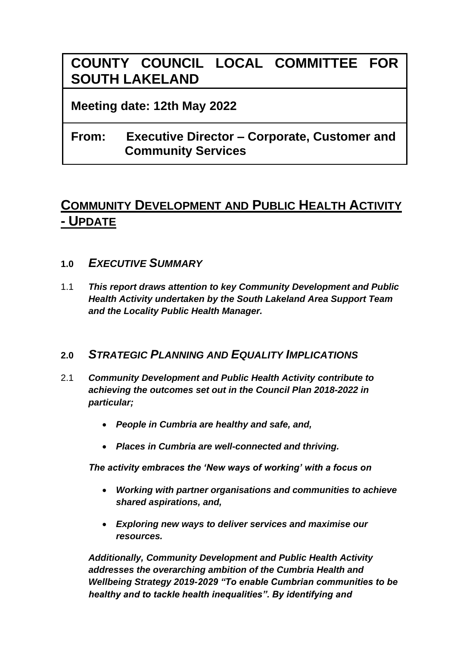# **COUNTY COUNCIL LOCAL COMMITTEE FOR SOUTH LAKELAND**

## **Meeting date: 12th May 2022**

# **From: Executive Director – Corporate, Customer and Community Services**

# **COMMUNITY DEVELOPMENT AND PUBLIC HEALTH ACTIVITY - UPDATE**

## **1.0** *EXECUTIVE SUMMARY*

1.1 *This report draws attention to key Community Development and Public Health Activity undertaken by the South Lakeland Area Support Team and the Locality Public Health Manager.* 

## **2.0** *STRATEGIC PLANNING AND EQUALITY IMPLICATIONS*

- 2.1 *Community Development and Public Health Activity contribute to achieving the outcomes set out in the Council Plan 2018-2022 in particular;*
	- *People in Cumbria are healthy and safe, and,*
	- *Places in Cumbria are well-connected and thriving.*

*The activity embraces the 'New ways of working' with a focus on*

- *Working with partner organisations and communities to achieve shared aspirations, and,*
- *Exploring new ways to deliver services and maximise our resources.*

*Additionally, Community Development and Public Health Activity addresses the overarching ambition of the Cumbria Health and Wellbeing Strategy 2019-2029 "To enable Cumbrian communities to be healthy and to tackle health inequalities". By identifying and*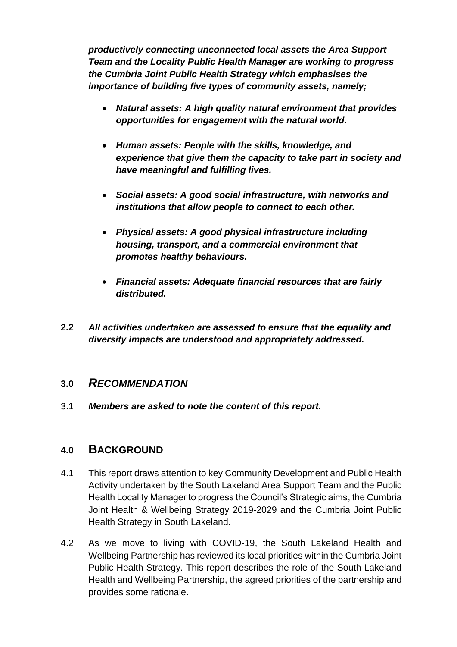*productively connecting unconnected local assets the Area Support Team and the Locality Public Health Manager are working to progress the Cumbria Joint Public Health Strategy which emphasises the importance of building five types of community assets, namely;*

- *Natural assets: A high quality natural environment that provides opportunities for engagement with the natural world.*
- *Human assets: People with the skills, knowledge, and experience that give them the capacity to take part in society and have meaningful and fulfilling lives.*
- *Social assets: A good social infrastructure, with networks and institutions that allow people to connect to each other.*
- *Physical assets: A good physical infrastructure including housing, transport, and a commercial environment that promotes healthy behaviours.*
- *Financial assets: Adequate financial resources that are fairly distributed.*
- **2.2** *All activities undertaken are assessed to ensure that the equality and diversity impacts are understood and appropriately addressed.*

## **3.0** *RECOMMENDATION*

3.1 *Members are asked to note the content of this report.*

## **4.0 BACKGROUND**

- 4.1 This report draws attention to key Community Development and Public Health Activity undertaken by the South Lakeland Area Support Team and the Public Health Locality Manager to progress the Council's Strategic aims, the Cumbria Joint Health & Wellbeing Strategy 2019-2029 and the Cumbria Joint Public Health Strategy in South Lakeland.
- 4.2 As we move to living with COVID-19, the South Lakeland Health and Wellbeing Partnership has reviewed its local priorities within the Cumbria Joint Public Health Strategy. This report describes the role of the South Lakeland Health and Wellbeing Partnership, the agreed priorities of the partnership and provides some rationale.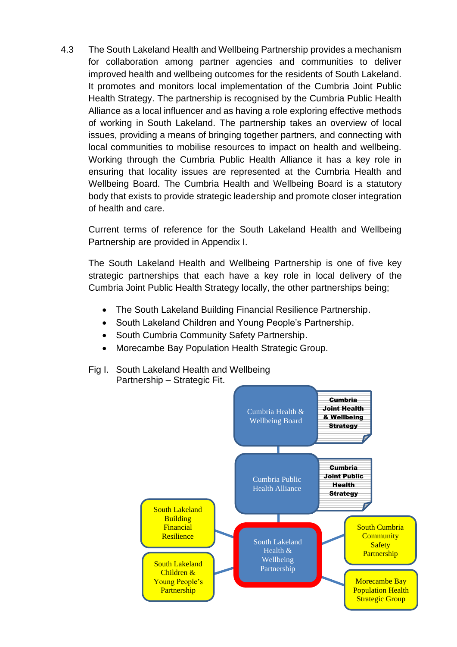4.3 The South Lakeland Health and Wellbeing Partnership provides a mechanism for collaboration among partner agencies and communities to deliver improved health and wellbeing outcomes for the residents of South Lakeland. It promotes and monitors local implementation of the Cumbria Joint Public Health Strategy. The partnership is recognised by the Cumbria Public Health Alliance as a local influencer and as having a role exploring effective methods of working in South Lakeland. The partnership takes an overview of local issues, providing a means of bringing together partners, and connecting with local communities to mobilise resources to impact on health and wellbeing. Working through the Cumbria Public Health Alliance it has a key role in ensuring that locality issues are represented at the Cumbria Health and Wellbeing Board. The Cumbria Health and Wellbeing Board is a statutory body that exists to provide strategic leadership and promote closer integration of health and care.

Current terms of reference for the South Lakeland Health and Wellbeing Partnership are provided in Appendix I.

The South Lakeland Health and Wellbeing Partnership is one of five key strategic partnerships that each have a key role in local delivery of the Cumbria Joint Public Health Strategy locally, the other partnerships being;

- The South Lakeland Building Financial Resilience Partnership.
- South Lakeland Children and Young People's Partnership.
- South Cumbria Community Safety Partnership.
- Morecambe Bay Population Health Strategic Group.
- Fig I. South Lakeland Health and Wellbeing Partnership – Strategic Fit.

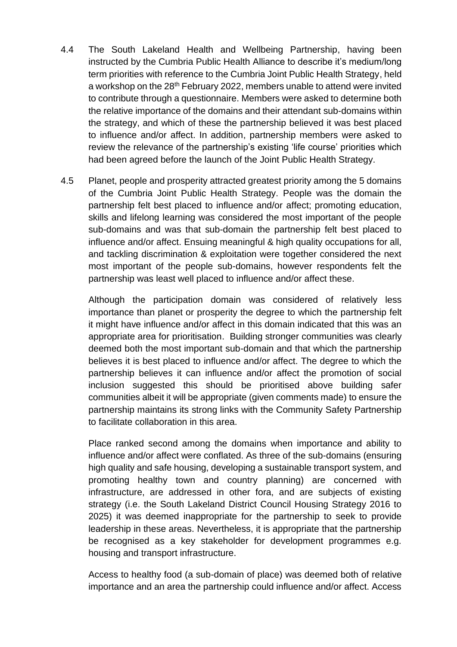- 4.4 The South Lakeland Health and Wellbeing Partnership, having been instructed by the Cumbria Public Health Alliance to describe it's medium/long term priorities with reference to the Cumbria Joint Public Health Strategy, held a workshop on the 28<sup>th</sup> February 2022, members unable to attend were invited to contribute through a questionnaire. Members were asked to determine both the relative importance of the domains and their attendant sub-domains within the strategy, and which of these the partnership believed it was best placed to influence and/or affect. In addition, partnership members were asked to review the relevance of the partnership's existing 'life course' priorities which had been agreed before the launch of the Joint Public Health Strategy.
- 4.5 Planet, people and prosperity attracted greatest priority among the 5 domains of the Cumbria Joint Public Health Strategy. People was the domain the partnership felt best placed to influence and/or affect; promoting education, skills and lifelong learning was considered the most important of the people sub-domains and was that sub-domain the partnership felt best placed to influence and/or affect. Ensuing meaningful & high quality occupations for all, and tackling discrimination & exploitation were together considered the next most important of the people sub-domains, however respondents felt the partnership was least well placed to influence and/or affect these.

Although the participation domain was considered of relatively less importance than planet or prosperity the degree to which the partnership felt it might have influence and/or affect in this domain indicated that this was an appropriate area for prioritisation. Building stronger communities was clearly deemed both the most important sub-domain and that which the partnership believes it is best placed to influence and/or affect. The degree to which the partnership believes it can influence and/or affect the promotion of social inclusion suggested this should be prioritised above building safer communities albeit it will be appropriate (given comments made) to ensure the partnership maintains its strong links with the Community Safety Partnership to facilitate collaboration in this area.

Place ranked second among the domains when importance and ability to influence and/or affect were conflated. As three of the sub-domains (ensuring high quality and safe housing, developing a sustainable transport system, and promoting healthy town and country planning) are concerned with infrastructure, are addressed in other fora, and are subjects of existing strategy (i.e. the South Lakeland District Council Housing Strategy 2016 to 2025) it was deemed inappropriate for the partnership to seek to provide leadership in these areas. Nevertheless, it is appropriate that the partnership be recognised as a key stakeholder for development programmes e.g. housing and transport infrastructure.

Access to healthy food (a sub-domain of place) was deemed both of relative importance and an area the partnership could influence and/or affect. Access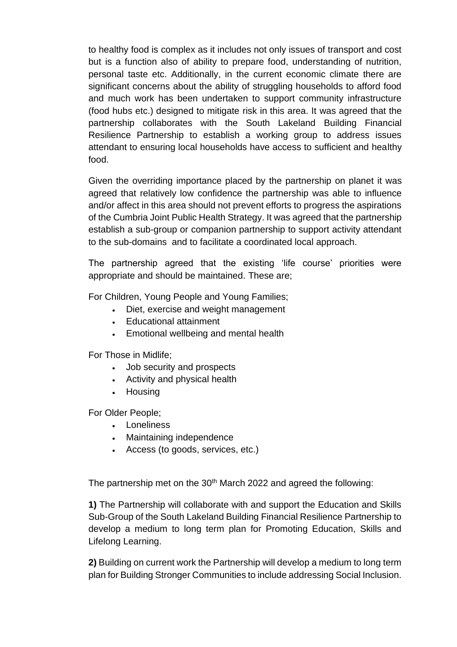to healthy food is complex as it includes not only issues of transport and cost but is a function also of ability to prepare food, understanding of nutrition, personal taste etc. Additionally, in the current economic climate there are significant concerns about the ability of struggling households to afford food and much work has been undertaken to support community infrastructure (food hubs etc.) designed to mitigate risk in this area. It was agreed that the partnership collaborates with the South Lakeland Building Financial Resilience Partnership to establish a working group to address issues attendant to ensuring local households have access to sufficient and healthy food.

Given the overriding importance placed by the partnership on planet it was agreed that relatively low confidence the partnership was able to influence and/or affect in this area should not prevent efforts to progress the aspirations of the Cumbria Joint Public Health Strategy. It was agreed that the partnership establish a sub-group or companion partnership to support activity attendant to the sub-domains and to facilitate a coordinated local approach.

The partnership agreed that the existing 'life course' priorities were appropriate and should be maintained. These are;

For Children, Young People and Young Families;

- Diet, exercise and weight management
- Educational attainment
- Emotional wellbeing and mental health

For Those in Midlife;

- Job security and prospects
- Activity and physical health
- Housing

For Older People;

- Loneliness
- Maintaining independence
- Access (to goods, services, etc.)

The partnership met on the 30<sup>th</sup> March 2022 and agreed the following:

**1)** The Partnership will collaborate with and support the Education and Skills Sub-Group of the South Lakeland Building Financial Resilience Partnership to develop a medium to long term plan for Promoting Education, Skills and Lifelong Learning.

**2)** Building on current work the Partnership will develop a medium to long term plan for Building Stronger Communities to include addressing Social Inclusion.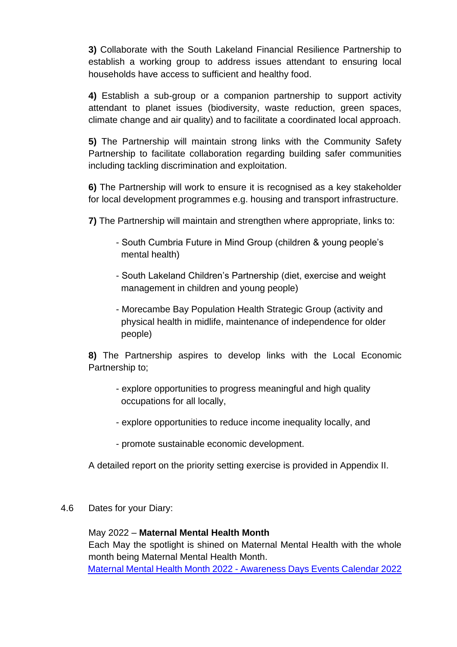**3)** Collaborate with the South Lakeland Financial Resilience Partnership to establish a working group to address issues attendant to ensuring local households have access to sufficient and healthy food.

**4)** Establish a sub-group or a companion partnership to support activity attendant to planet issues (biodiversity, waste reduction, green spaces, climate change and air quality) and to facilitate a coordinated local approach.

**5)** The Partnership will maintain strong links with the Community Safety Partnership to facilitate collaboration regarding building safer communities including tackling discrimination and exploitation.

**6)** The Partnership will work to ensure it is recognised as a key stakeholder for local development programmes e.g. housing and transport infrastructure.

**7)** The Partnership will maintain and strengthen where appropriate, links to:

- South Cumbria Future in Mind Group (children & young people's mental health)
- South Lakeland Children's Partnership (diet, exercise and weight management in children and young people)
- Morecambe Bay Population Health Strategic Group (activity and physical health in midlife, maintenance of independence for older people)

**8)** The Partnership aspires to develop links with the Local Economic Partnership to;

- explore opportunities to progress meaningful and high quality occupations for all locally,
- explore opportunities to reduce income inequality locally, and
- promote sustainable economic development.

A detailed report on the priority setting exercise is provided in Appendix II.

4.6 Dates for your Diary:

### May 2022 – **Maternal Mental Health Month**

Each May the spotlight is shined on Maternal Mental Health with the whole month being Maternal Mental Health Month. Maternal Mental Health Month 2022 - [Awareness Days Events Calendar 2022](https://www.awarenessdays.com/awareness-days-calendar/maternal-mental-health-month-2022/)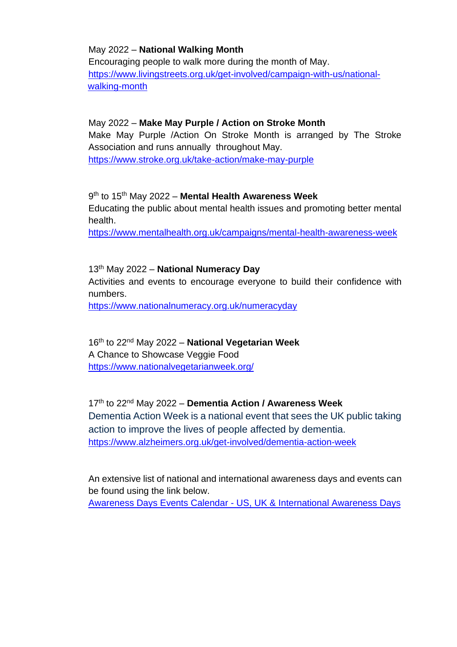#### May 2022 – **National Walking Month**

Encouraging people to walk more during the month of May. [https://www.livingstreets.org.uk/get-involved/campaign-with-us/national](https://www.livingstreets.org.uk/get-involved/campaign-with-us/national-walking-month)[walking-month](https://www.livingstreets.org.uk/get-involved/campaign-with-us/national-walking-month)

#### May 2022 – **Make May Purple / Action on Stroke Month**

Make May Purple /Action On Stroke Month is arranged by The Stroke Association and runs annually throughout May. <https://www.stroke.org.uk/take-action/make-may-purple>

9 th to 15th May 2022 – **Mental Health Awareness Week** Educating the public about mental health issues and promoting better mental health.

<https://www.mentalhealth.org.uk/campaigns/mental-health-awareness-week>

13th May 2022 – **National Numeracy Day** Activities and events to encourage everyone to build their confidence with numbers. <https://www.nationalnumeracy.org.uk/numeracyday>

16th to 22nd May 2022 – **National Vegetarian Week** A Chance to Showcase Veggie Food <https://www.nationalvegetarianweek.org/>

17th to 22nd May 2022 – **Dementia Action / Awareness Week** Dementia Action Week is a national event that sees the UK public taking action to improve the lives of people affected by dementia. <https://www.alzheimers.org.uk/get-involved/dementia-action-week>

An extensive list of national and international awareness days and events can be found using the link below. Awareness Days Events Calendar - [US, UK & International Awareness Days](https://www.awarenessdays.com/awareness-days-calendar/list/?tribe_paged=3&tribe_event_display=list&tribe-bar-date=2022-04-27)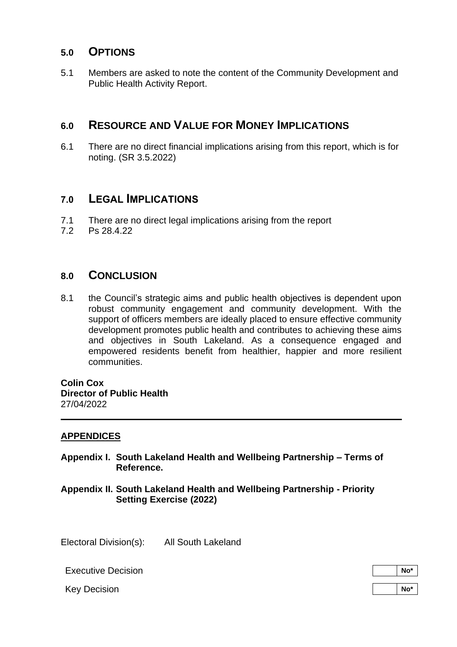## **5.0 OPTIONS**

5.1 Members are asked to note the content of the Community Development and Public Health Activity Report.

## **6.0 RESOURCE AND VALUE FOR MONEY IMPLICATIONS**

6.1 There are no direct financial implications arising from this report, which is for noting. (SR 3.5.2022)

## **7.0 LEGAL IMPLICATIONS**

- 7.1 There are no direct legal implications arising from the report
- 7.2 Ps 28.4.22

## **8.0 CONCLUSION**

8.1 the Council's strategic aims and public health objectives is dependent upon robust community engagement and community development. With the support of officers members are ideally placed to ensure effective community development promotes public health and contributes to achieving these aims and objectives in South Lakeland. As a consequence engaged and empowered residents benefit from healthier, happier and more resilient communities.

**Colin Cox Director of Public Health** 27/04/2022

#### **APPENDICES**

- **Appendix I. South Lakeland Health and Wellbeing Partnership – Terms of Reference.**
- **Appendix II. South Lakeland Health and Wellbeing Partnership - Priority Setting Exercise (2022)**

Electoral Division(s): All South Lakeland

**Executive Decision No. 2 No. 2 No. 2 No. 2 No. 2 No. 2 No. 2 No. 2 No. 2 No. 2 No. 2 No. 2 No. 2 No. 2 No. 2 No. 2 No. 2 No. 2 No. 2 No. 2 No. 2 No. 2 No. 2 No. 2 No. 2**

Key Decision **Note 2018 Note 2018 Note 2018 Note 2018 Note 2018 Note 2018 Note 2018 Note 2018 Note 2018 Note 2018 Note 2018 Note 2018 Note 2018 Note 2018 Note 2018 Note 2018 Note 2018 Note**